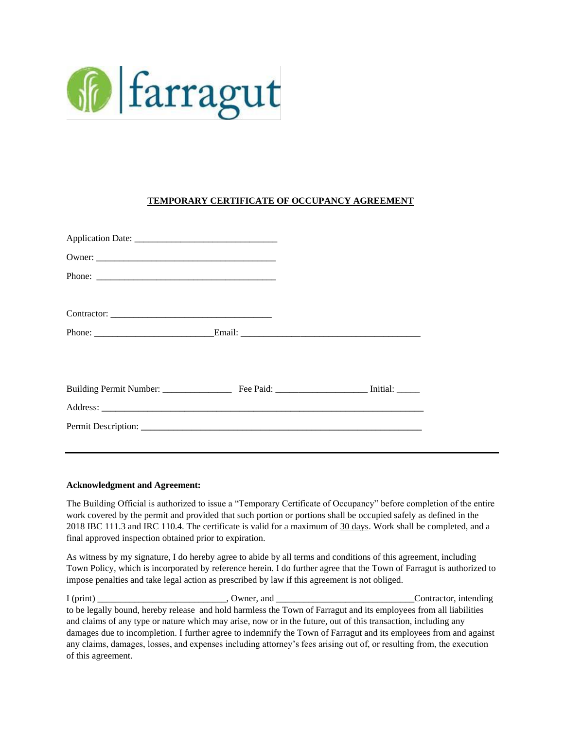

## **TEMPORARY CERTIFICATE OF OCCUPANCY AGREEMENT**

| Phone:      |                     |  |
|-------------|---------------------|--|
| Contractor: |                     |  |
|             |                     |  |
|             |                     |  |
|             |                     |  |
|             |                     |  |
|             | Permit Description: |  |

## **Acknowledgment and Agreement:**

The Building Official is authorized to issue a "Temporary Certificate of Occupancy" before completion of the entire work covered by the permit and provided that such portion or portions shall be occupied safely as defined in the 2018 IBC 111.3 and IRC 110.4. The certificate is valid for a maximum of 30 days. Work shall be completed, and a final approved inspection obtained prior to expiration.

As witness by my signature, I do hereby agree to abide by all terms and conditions of this agreement, including Town Policy, which is incorporated by reference herein. I do further agree that the Town of Farragut is authorized to impose penalties and take legal action as prescribed by law if this agreement is not obliged.

I (print) Contractor, intending the set of the Contractor, intending  $\alpha$ to be legally bound, hereby release and hold harmless the Town of Farragut and its employees from all liabilities and claims of any type or nature which may arise, now or in the future, out of this transaction, including any damages due to incompletion. I further agree to indemnify the Town of Farragut and its employees from and against any claims, damages, losses, and expenses including attorney's fees arising out of, or resulting from, the execution of this agreement.